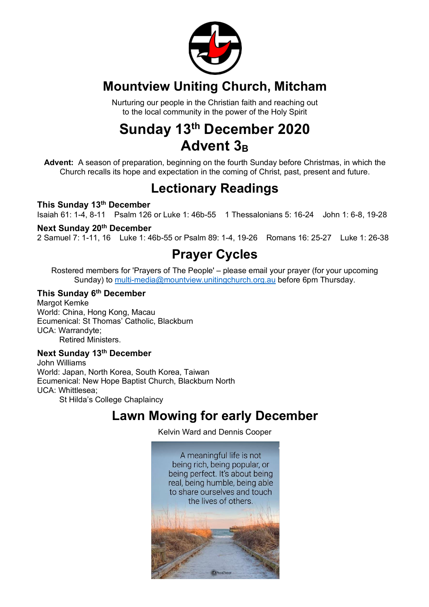

## **Mountview Uniting Church, Mitcham**

Nurturing our people in the Christian faith and reaching out to the local community in the power of the Holy Spirit

# **Sunday 13th December 2020** Advent 3<sub>B</sub>

**Advent:** A season of preparation, beginning on the fourth Sunday before Christmas, in which the Church recalls its hope and expectation in the coming of Christ, past, present and future.

### **Lectionary Readings**

### **This Sunday 13th December**

Isaiah 61: 1-4, 8-11 Psalm 126 or Luke 1: 46b-55 1 Thessalonians 5: 16-24 John 1: 6-8, 19-28

### **Next Sunday 20th December**

2 Samuel 7: 1-11, 16 Luke 1: 46b-55 or Psalm 89: 1-4, 19-26 Romans 16: 25-27 Luke 1: 26-38

### **Prayer Cycles**

Rostered members for 'Prayers of The People' – please email your prayer (for your upcoming Sunday) to multi-media@mountview.unitingchurch.org.au before 6pm Thursday.

### **This Sunday 6th December**

Margot Kemke World: China, Hong Kong, Macau Ecumenical: St Thomas' Catholic, Blackburn UCA: Warrandyte; Retired Ministers.

#### **Next Sunday 13th December**

John Williams World: Japan, North Korea, South Korea, Taiwan Ecumenical: New Hope Baptist Church, Blackburn North UCA: Whittlesea; St Hilda's College Chaplaincy

### **Lawn Mowing for early December**

Kelvin Ward and Dennis Cooper